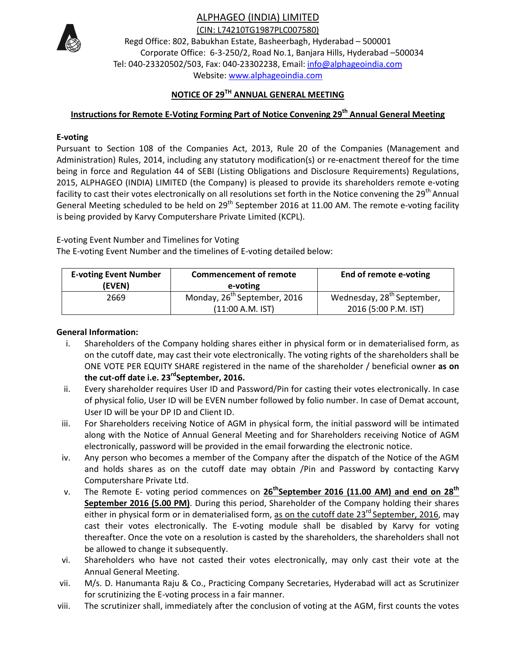## ALPHAGEO (INDIA) LIMITED



(CIN: L74210TG1987PLC007580)

Regd Office: 802, Babukhan Estate, Basheerbagh, Hyderabad – 500001 Corporate Office: 6-3-250/2, Road No.1, Banjara Hills, Hyderabad –500034 Tel: 040-23320502/503, Fax: 040-23302238, Email: info@alphageoindia.com Website: www.alphageoindia.com

# **NOTICE OF 29TH ANNUAL GENERAL MEETING**

## **Instructions for Remote E-Voting Forming Part of Notice Convening 29th Annual General Meeting**

#### **E-voting**

Pursuant to Section 108 of the Companies Act, 2013, Rule 20 of the Companies (Management and Administration) Rules, 2014, including any statutory modification(s) or re-enactment thereof for the time being in force and Regulation 44 of SEBI (Listing Obligations and Disclosure Requirements) Regulations, 2015, ALPHAGEO (INDIA) LIMITED (the Company) is pleased to provide its shareholders remote e-voting facility to cast their votes electronically on all resolutions set forth in the Notice convening the 29<sup>th</sup> Annual General Meeting scheduled to be held on 29<sup>th</sup> September 2016 at 11.00 AM. The remote e-voting facility is being provided by Karvy Computershare Private Limited (KCPL).

E-voting Event Number and Timelines for Voting

The E-voting Event Number and the timelines of E-voting detailed below:

| <b>E-voting Event Number</b><br>(EVEN) | <b>Commencement of remote</b><br>e-voting                    | End of remote e-voting                                         |
|----------------------------------------|--------------------------------------------------------------|----------------------------------------------------------------|
| 2669                                   | Monday, 26 <sup>th</sup> September, 2016<br>(11:00 A.M. IST) | Wednesday, 28 <sup>th</sup> September,<br>2016 (5:00 P.M. IST) |

#### **General Information:**

- i. Shareholders of the Company holding shares either in physical form or in dematerialised form, as on the cutoff date, may cast their vote electronically. The voting rights of the shareholders shall be ONE VOTE PER EQUITY SHARE registered in the name of the shareholder / beneficial owner **as on the cut-off date i.e. 23rdSeptember, 2016.**
- ii. Every shareholder requires User ID and Password/Pin for casting their votes electronically. In case of physical folio, User ID will be EVEN number followed by folio number. In case of Demat account, User ID will be your DP ID and Client ID.
- iii. For Shareholders receiving Notice of AGM in physical form, the initial password will be intimated along with the Notice of Annual General Meeting and for Shareholders receiving Notice of AGM electronically, password will be provided in the email forwarding the electronic notice.
- iv. Any person who becomes a member of the Company after the dispatch of the Notice of the AGM and holds shares as on the cutoff date may obtain /Pin and Password by contacting Karvy Computershare Private Ltd.
- v. The Remote E- voting period commences on 26<sup>th</sup>September 2016 (11.00 AM) and end on 28<sup>th</sup> **September 2016 (5.00 PM)**. During this period, Shareholder of the Company holding their shares either in physical form or in dematerialised form, as on the cutoff date 23<sup>rd</sup> September, 2016, may cast their votes electronically. The E-voting module shall be disabled by Karvy for voting thereafter. Once the vote on a resolution is casted by the shareholders, the shareholders shall not be allowed to change it subsequently.
- vi. Shareholders who have not casted their votes electronically, may only cast their vote at the Annual General Meeting.
- vii. M/s. D. Hanumanta Raju & Co., Practicing Company Secretaries, Hyderabad will act as Scrutinizer for scrutinizing the E-voting process in a fair manner.
- viii. The scrutinizer shall, immediately after the conclusion of voting at the AGM, first counts the votes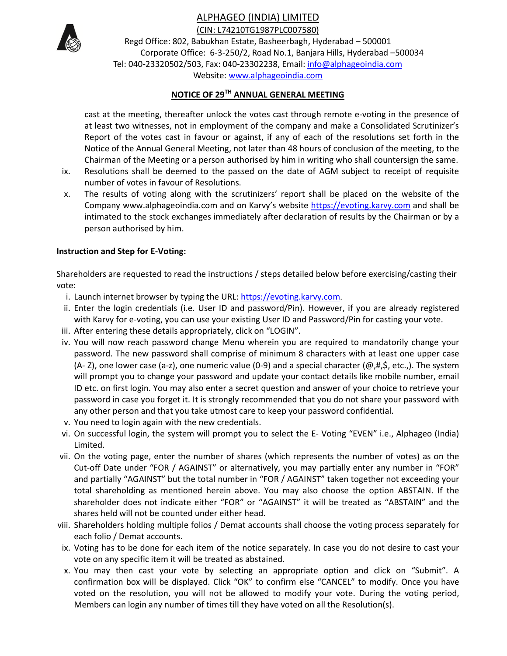ALPHAGEO (INDIA) LIMITED



(CIN: L74210TG1987PLC007580)

Regd Office: 802, Babukhan Estate, Basheerbagh, Hyderabad – 500001 Corporate Office: 6-3-250/2, Road No.1, Banjara Hills, Hyderabad –500034 Tel: 040-23320502/503, Fax: 040-23302238, Email: info@alphageoindia.com Website: www.alphageoindia.com

# **NOTICE OF 29TH ANNUAL GENERAL MEETING**

cast at the meeting, thereafter unlock the votes cast through remote e-voting in the presence of at least two witnesses, not in employment of the company and make a Consolidated Scrutinizer's Report of the votes cast in favour or against, if any of each of the resolutions set forth in the Notice of the Annual General Meeting, not later than 48 hours of conclusion of the meeting, to the Chairman of the Meeting or a person authorised by him in writing who shall countersign the same.

- ix. Resolutions shall be deemed to the passed on the date of AGM subject to receipt of requisite number of votes in favour of Resolutions.
- x. The results of voting along with the scrutinizers' report shall be placed on the website of the Company www.alphageoindia.com and on Karvy's website https://evoting.karvy.com and shall be intimated to the stock exchanges immediately after declaration of results by the Chairman or by a person authorised by him.

### **Instruction and Step for E-Voting:**

Shareholders are requested to read the instructions / steps detailed below before exercising/casting their vote:

- i. Launch internet browser by typing the URL: https://evoting.karvy.com.
- ii. Enter the login credentials (i.e. User ID and password/Pin). However, if you are already registered with Karvy for e-voting, you can use your existing User ID and Password/Pin for casting your vote.
- iii. After entering these details appropriately, click on "LOGIN".
- iv. You will now reach password change Menu wherein you are required to mandatorily change your password. The new password shall comprise of minimum 8 characters with at least one upper case (A- Z), one lower case (a-z), one numeric value (0-9) and a special character ( $\omega$ ,#,\$, etc.,). The system will prompt you to change your password and update your contact details like mobile number, email ID etc. on first login. You may also enter a secret question and answer of your choice to retrieve your password in case you forget it. It is strongly recommended that you do not share your password with any other person and that you take utmost care to keep your password confidential.
- v. You need to login again with the new credentials.
- vi. On successful login, the system will prompt you to select the E- Voting "EVEN" i.e., Alphageo (India) Limited.
- vii. On the voting page, enter the number of shares (which represents the number of votes) as on the Cut-off Date under "FOR / AGAINST" or alternatively, you may partially enter any number in "FOR" and partially "AGAINST" but the total number in "FOR / AGAINST" taken together not exceeding your total shareholding as mentioned herein above. You may also choose the option ABSTAIN. If the shareholder does not indicate either "FOR" or "AGAINST" it will be treated as "ABSTAIN" and the shares held will not be counted under either head.
- viii. Shareholders holding multiple folios / Demat accounts shall choose the voting process separately for each folio / Demat accounts.
- ix. Voting has to be done for each item of the notice separately. In case you do not desire to cast your vote on any specific item it will be treated as abstained.
- x. You may then cast your vote by selecting an appropriate option and click on "Submit". A confirmation box will be displayed. Click "OK" to confirm else "CANCEL" to modify. Once you have voted on the resolution, you will not be allowed to modify your vote. During the voting period, Members can login any number of times till they have voted on all the Resolution(s).